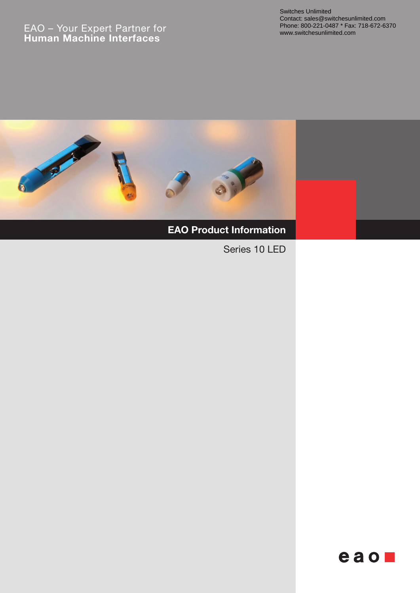# EAO – Your Expert Partner for **Human Machine Interfaces**



# **EAO Product Information**

Series 10 LED

 $e$ ao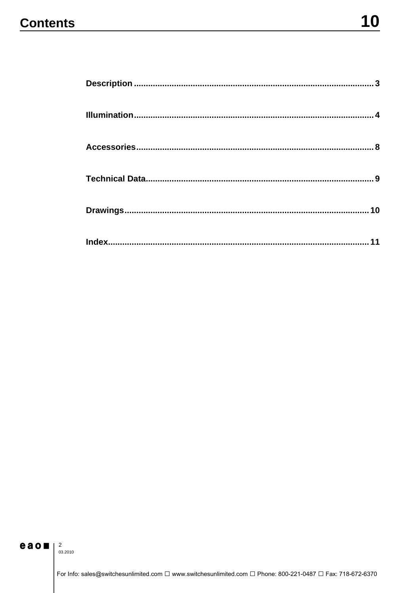# **Contents**

# eao $\frac{2}{\frac{3}{2} \cdot 2010}$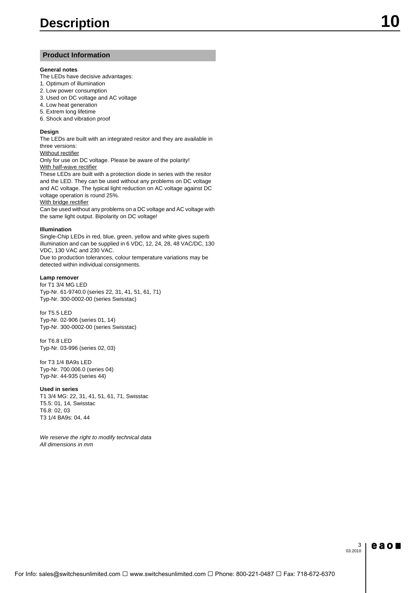## **Product Information**

#### **General notes**

The LEDs have decisive advantages:

- 1. Optimum of illumination
- 2. Low power consumption
- 3. Used on DC voltage and AC voltage
- 4. Low heat generation
- 5. Extrem long lifetime
- 6. Shock and vibration proof

#### **Design**

The LEDs are built with an integrated resitor and they are available in three versions:

#### Without rectifier

Only for use on DC voltage. Please be aware of the polarity! With half-wave rectifier

These LEDs are built with a protection diode in series with the resitor and the LED. They can be used without any problems on DC voltage and AC voltage. The typical light reduction on AC voltage against DC voltage operation is round 25%.

#### With bridge rectifier

Can be used without any problems on a DC voltage and AC voltage with the same light output. Bipolarity on DC voltage!

#### **Illumination**

Single-Chip LEDs in red, blue, green, yellow and white gives superb illumination and can be supplied in 6 VDC, 12, 24, 28, 48 VAC/DC, 130 VDC, 130 VAC and 230 VAC.

Due to production tolerances, colour temperature variations may be detected within individual consignments.

#### **Lamp remover**

for T1 3/4 MG LED Typ-Nr. 61-9740.0 (series 22, 31, 41, 51, 61, 71) Typ-Nr. 300-0002-00 (series Swisstac)

for T5.5 LED Typ-Nr. 02-906 (series 01, 14) Typ-Nr. 300-0002-00 (series Swisstac)

for T6.8 LED Typ-Nr. 03-996 (series 02, 03)

for T3 1/4 BA9s LED Typ-Nr. 700.006.0 (series 04) Typ-Nr. 44-935 (series 44)

#### **Used in series**

T1 3/4 MG: 22, 31, 41, 51, 61, 71, Swisstac T5.5: 01, 14, Swisstac T6.8: 02, 03 T3 1/4 BA9s: 04, 44

*We reserve the right to modify technical data All dimensions in mm*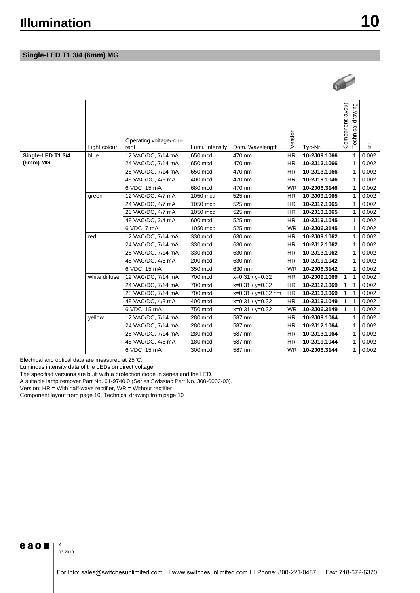# **Single-LED T1 3/4 (6mm) MG**

|                   | Light colour  | Operating voltage/-cur-<br>rent | Lumi. Intensity | Dom. Wavelength      | Version   | Typ-Nr.      | Component layout | Technical drawing | $\widetilde{k_{0}}$ |
|-------------------|---------------|---------------------------------|-----------------|----------------------|-----------|--------------|------------------|-------------------|---------------------|
| Single-LED T1 3/4 | blue          | 12 VAC/DC, 7/14 mA              | 650 mcd         | 470 nm               | <b>HR</b> | 10-2J09.1066 |                  | 1                 | 0.002               |
| (6mm) MG          |               | 24 VAC/DC, 7/14 mA              | 650 mcd         | 470 nm               | <b>HR</b> | 10-2J12.1066 |                  | $\mathbf{1}$      | 0.002               |
|                   |               | 28 VAC/DC, 7/14 mA              | 650 mcd         | 470 nm               | <b>HR</b> | 10-2J13.1066 |                  | $\mathbf{1}$      | 0.002               |
|                   |               | 48 VAC/DC, 4/8 mA               | 400 mcd         | 470 nm               | <b>HR</b> | 10-2J19.1046 |                  | $\mathbf{1}$      | 0.002               |
|                   |               | 6 VDC, 15 mA                    | 680 mcd         | 470 nm               | <b>WR</b> | 10-2J06.3146 |                  | $\mathbf{1}$      | 0.002               |
|                   | green         | 12 VAC/DC, 4/7 mA               | 1050 mcd        | 525 nm               | <b>HR</b> | 10-2J09.1065 |                  | $\mathbf{1}$      | 0.002               |
|                   |               | 24 VAC/DC, 4/7 mA               | 1050 mcd        | 525 nm               | <b>HR</b> | 10-2J12.1065 |                  | 1                 | 0.002               |
|                   |               | 28 VAC/DC, 4/7 mA               | 1050 mcd        | 525 nm               | <b>HR</b> | 10-2J13.1065 |                  | 1                 | 0.002               |
|                   |               | 48 VAC/DC, 2/4 mA               | 600 mcd         | 525 nm               | <b>HR</b> | 10-2J19.1045 |                  | 1                 | 0.002               |
|                   |               | 6 VDC, 7 mA                     | 1050 mcd        | 525 nm               | <b>WR</b> | 10-2J06.3145 |                  | $\mathbf{1}$      | 0.002               |
|                   | red           | 12 VAC/DC, 7/14 mA              | 330 mcd         | 630 nm               | <b>HR</b> | 10-2J09.1062 |                  | 1                 | 0.002               |
|                   |               | 24 VAC/DC, 7/14 mA              | 330 mcd         | 630 nm               | <b>HR</b> | 10-2J12.1062 |                  | $\mathbf{1}$      | 0.002               |
|                   |               | 28 VAC/DC, 7/14 mA              | 330 mcd         | 630 nm               | <b>HR</b> | 10-2J13.1062 |                  | $\mathbf{1}$      | 0.002               |
|                   |               | 48 VAC/DC, 4/8 mA               | 200 mcd         | 630 nm               | <b>HR</b> | 10-2J19.1042 |                  | 1                 | 0.002               |
|                   |               | 6 VDC, 15 mA                    | 350 mcd         | 630 nm               | <b>WR</b> | 10-2J06.3142 |                  | 1                 | 0.002               |
|                   | white diffuse | 12 VAC/DC, 7/14 mA              | 700 mcd         | $x=0.31 / y=0.32$    | <b>HR</b> | 10-2J09.1069 | 1                | 1                 | 0.002               |
|                   |               | 24 VAC/DC, 7/14 mA              | 700 mcd         | $x=0.31 / y=0.32$    | <b>HR</b> | 10-2J12.1069 | 1                | $\mathbf{1}$      | 0.002               |
|                   |               | 28 VAC/DC, 7/14 mA              | 700 mcd         | $x=0.31 / y=0.32$ nm | <b>HR</b> | 10-2J13.1069 | 1                | 1                 | 0.002               |
|                   |               | 48 VAC/DC, 4/8 mA               | 400 mcd         | $x=0.31 / y=0.32$    | <b>HR</b> | 10-2J19.1049 | 1                | $\mathbf{1}$      | 0.002               |
|                   |               | 6 VDC, 15 mA                    | 750 mcd         | $x=0.31 / y=0.32$    | <b>WR</b> | 10-2J06.3149 | 1                | $\mathbf{1}$      | 0.002               |
|                   | yellow        | 12 VAC/DC, 7/14 mA              | 280 mcd         | 587 nm               | <b>HR</b> | 10-2J09.1064 |                  | $\mathbf{1}$      | 0.002               |
|                   |               | 24 VAC/DC, 7/14 mA              | 280 mcd         | 587 nm               | <b>HR</b> | 10-2J12.1064 |                  | 1                 | 0.002               |
|                   |               | 28 VAC/DC, 7/14 mA              | 280 mcd         | 587 nm               | <b>HR</b> | 10-2J13.1064 |                  | 1                 | 0.002               |
|                   |               | 48 VAC/DC, 4/8 mA               | 180 mcd         | 587 nm               | <b>HR</b> | 10-2J19.1044 |                  | 1                 | 0.002               |
|                   |               | 6 VDC, 15 mA                    | 300 mcd         | 587 nm               | <b>WR</b> | 10-2J06.3144 |                  | $\mathbf{1}$      | 0.002               |

Electrical and optical data are measured at 25°C.

Luminous intensity data of the LEDs on direct voltage.

The specified versions are built with a protection diode in series and the LED.

A suitable lamp remover Part No. 61-9740.0 (Series Swisstac Part No. 300-0002-00).

Version:  $HR = With half-wave rectifier$ ,  $WR = Without rectifier$ 

Component layout from page 10, Technical drawing from page 10

eao $\blacksquare$ <sup>4</sup>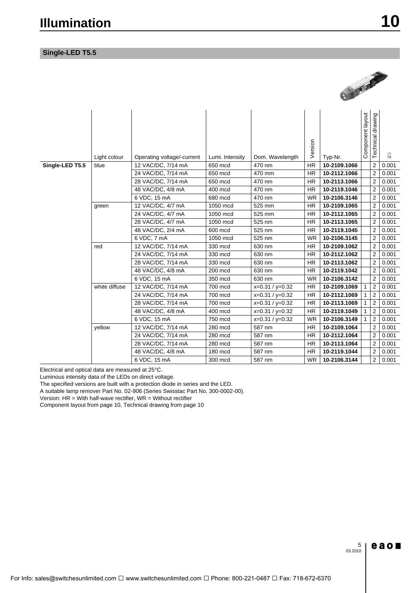# **Single-LED T5.5**



|                 | Light colour  | Operating voltage/-current | Lumi. Intensity | Dom. Wavelength   | Version   | Typ-Nr.      | Component layout | Technical drawing       | $\widetilde{k_{\rm g}}$ |
|-----------------|---------------|----------------------------|-----------------|-------------------|-----------|--------------|------------------|-------------------------|-------------------------|
| Single-LED T5.5 | blue          | 12 VAC/DC, 7/14 mA         | 650 mcd         | 470 nm            | <b>HR</b> | 10-2109.1066 |                  | $\overline{2}$          | 0.001                   |
|                 |               | 24 VAC/DC, 7/14 mA         | 650 mcd         | 470 mm            | <b>HR</b> | 10-2112.1066 |                  | $\overline{2}$          | 0.001                   |
|                 |               | 28 VAC/DC, 7/14 mA         | 650 mcd         | 470 nm            | <b>HR</b> | 10-2113.1066 |                  | $\overline{2}$          | 0.001                   |
|                 |               | 48 VAC/DC, 4/8 mA          | 400 mcd         | 470 nm            | <b>HR</b> | 10-2119.1046 |                  | 2                       | 0.001                   |
|                 |               | 6 VDC, 15 mA               | 680 mcd         | 470 nm            | <b>WR</b> | 10-2106.3146 |                  | $\overline{2}$          | 0.001                   |
|                 | green         | 12 VAC/DC, 4/7 mA          | 1050 mcd        | 525 mm            | <b>HR</b> | 10-2109.1065 |                  | 2                       | 0.001                   |
|                 |               | 24 VAC/DC, 4/7 mA          | 1050 mcd        | 525 mm            | <b>HR</b> | 10-2112.1065 |                  | 2                       | 0.001                   |
|                 |               | 28 VAC/DC, 4/7 mA          | 1050 mcd        | 525 nm            | <b>HR</b> | 10-2113.1065 |                  | $\overline{2}$          | 0.001                   |
|                 |               | 48 VAC/DC, 2/4 mA          | 600 mcd         | 525 nm            | <b>HR</b> | 10-2119.1045 |                  | 2                       | 0.001                   |
|                 |               | 6 VDC, 7 mA                | 1050 mcd        | 525 nm            | <b>WR</b> | 10-2106.3145 |                  | $\overline{2}$          | 0.001                   |
|                 | red           | 12 VAC/DC, 7/14 mA         | 330 mcd         | 630 nm            | <b>HR</b> | 10-2109.1062 |                  | $\overline{2}$          | 0.001                   |
|                 |               | 24 VAC/DC, 7/14 mA         | 330 mcd         | 630 nm            | <b>HR</b> | 10-2112.1062 |                  | 2                       | 0.001                   |
|                 |               | 28 VAC/DC, 7/14 mA         | 330 mcd         | 630 nm            | <b>HR</b> | 10-2113.1062 |                  | $\overline{2}$          | 0.001                   |
|                 |               | 48 VAC/DC, 4/8 mA          | 200 mcd         | 630 nm            | <b>HR</b> | 10-2119.1042 |                  | $\overline{2}$          | 0.001                   |
|                 |               | 6 VDC, 15 mA               | 350 mcd         | 630 nm            | <b>WR</b> | 10-2106.3142 |                  | $\overline{\mathbf{c}}$ | 0.001                   |
|                 | white diffuse | 12 VAC/DC, 7/14 mA         | 700 mcd         | $x=0.31 / y=0.32$ | <b>HR</b> | 10-2109.1069 | 1                | $\overline{2}$          | 0.001                   |
|                 |               | 24 VAC/DC, 7/14 mA         | 700 mcd         | $x=0.31 / y=0.32$ | <b>HR</b> | 10-2112.1069 | 1                | $\overline{2}$          | 0.001                   |
|                 |               | 28 VAC/DC, 7/14 mA         | 700 mcd         | $x=0.31 / y=0.32$ | <b>HR</b> | 10-2113.1069 | 1                | 2                       | 0.001                   |
|                 |               | 48 VAC/DC, 4/8 mA          | 400 mcd         | $x=0.31 / y=0.32$ | <b>HR</b> | 10-2119.1049 | 1                | $\overline{2}$          | 0.001                   |
|                 |               | 6 VDC, 15 mA               | 750 mcd         | $x=0.31 / y=0.32$ | <b>WR</b> | 10-2106.3149 | 1                | $\overline{2}$          | 0.001                   |
|                 | vellow        | 12 VAC/DC, 7/14 mA         | 280 mcd         | 587 nm            | <b>HR</b> | 10-2109.1064 |                  | 2                       | 0.001                   |
|                 |               | 24 VAC/DC, 7/14 mA         | 280 mcd         | 587 nm            | <b>HR</b> | 10-2112.1064 |                  | $\overline{2}$          | 0.001                   |
|                 |               | 28 VAC/DC, 7/14 mA         | 280 mcd         | 587 nm            | <b>HR</b> | 10-2113.1064 |                  | $\overline{2}$          | 0.001                   |
|                 |               | 48 VAC/DC, 4/8 mA          | 180 mcd         | 587 nm            | <b>HR</b> | 10-2119.1044 |                  | 2                       | 0.001                   |
|                 |               | 6 VDC, 15 mA               | 300 mcd         | 587 nm            | <b>WR</b> | 10-2106.3144 |                  | 2                       | 0.001                   |

Electrical and optical data are measured at 25°C.

Luminous intensity data of the LEDs on direct voltage.

The specified versions are built with a protection diode in series and the LED.

A suitable lamp remover Part No. 02-906 (Series Swisstac Part No. 300-0002-00).

Version:  $HR = With half-wave rectifier$ ,  $WR = Without rectifier$ 

Component layout from page 10, Technical drawing from page 10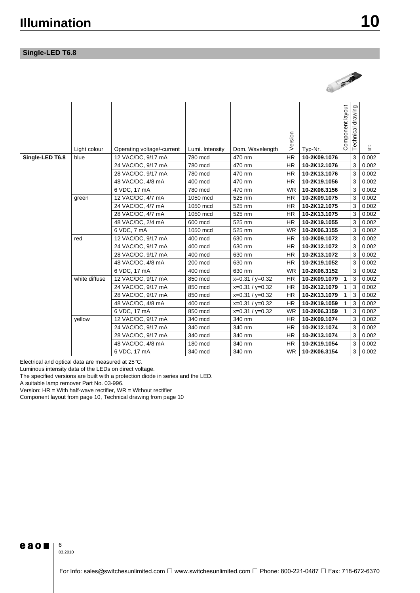# **Single-LED T6.8**

|                 |               |                                         |                    |                   |                        | <b>ANTIQUES</b>              |                              |                   |                   |
|-----------------|---------------|-----------------------------------------|--------------------|-------------------|------------------------|------------------------------|------------------------------|-------------------|-------------------|
|                 | Light colour  | Operating voltage/-current              | Lumi. Intensity    | Dom. Wavelength   | Version                | Typ-Nr.                      | Component layout             | Technical drawing | $\widetilde{k_0}$ |
| Single-LED T6.8 | blue          | 12 VAC/DC, 9/17 mA                      | 780 mcd            | 470 nm            | <b>HR</b>              | 10-2K09.1076                 |                              | 3                 | 0.002             |
|                 |               | 24 VAC/DC, 9/17 mA                      | 780 mcd            | 470 nm            | <b>HR</b>              | 10-2K12.1076                 |                              | 3                 | 0.002             |
|                 |               | 28 VAC/DC, 9/17 mA                      | 780 mcd            | 470 nm            | <b>HR</b>              | 10-2K13.1076                 |                              | 3                 | 0.002             |
|                 |               | 48 VAC/DC, 4/8 mA                       | 400 mcd            | 470 nm            | <b>HR</b>              | 10-2K19.1056                 |                              | 3                 | 0.002             |
|                 |               | 6 VDC, 17 mA                            | 780 mcd            | 470 nm            | <b>WR</b>              | 10-2K06.3156                 |                              | 3                 | 0.002             |
|                 | green         | 12 VAC/DC, 4/7 mA                       | 1050 mcd           | 525 nm            | <b>HR</b>              | 10-2K09.1075                 |                              | 3                 | 0.002             |
|                 |               | 24 VAC/DC, 4/7 mA                       | 1050 mcd           | 525 nm            | <b>HR</b>              | 10-2K12.1075                 |                              | 3                 | 0.002             |
|                 |               | 28 VAC/DC, 4/7 mA                       | 1050 mcd           | 525 nm            | <b>HR</b>              | 10-2K13.1075                 |                              | 3                 | 0.002             |
|                 |               | 48 VAC/DC, 2/4 mA                       | 600 mcd            | 525 nm            | <b>HR</b>              | 10-2K19.1055                 |                              | 3                 | 0.002             |
|                 |               | 6 VDC, 7 mA                             | 1050 mcd           | 525 nm            | <b>WR</b>              | 10-2K06.3155                 |                              | 3                 | 0.002             |
|                 | red           | 12 VAC/DC, 9/17 mA                      | 400 mcd            | 630 nm            | <b>HR</b>              | 10-2K09.1072                 |                              | 3                 | 0.002             |
|                 |               | 24 VAC/DC, 9/17 mA                      | 400 mcd            | 630 nm            | <b>HR</b>              | 10-2K12.1072                 |                              | 3                 | 0.002             |
|                 |               | 28 VAC/DC, 9/17 mA                      | 400 mcd            | 630 nm            | <b>HR</b>              | 10-2K13.1072                 |                              | 3                 | 0.002             |
|                 |               | 48 VAC/DC, 4/8 mA                       | 200 mcd            | 630 nm            | <b>HR</b>              | 10-2K19.1052                 |                              | 3                 | 0.002             |
|                 | white diffuse | 6 VDC, 17 mA                            | 400 mcd            | 630 nm            | <b>WR</b>              | 10-2K06.3152                 |                              | 3                 | 0.002             |
|                 |               | 12 VAC/DC, 9/17 mA                      | 850 mcd<br>850 mcd | $x=0.31 / y=0.32$ | <b>HR</b>              | 10-2K09.1079                 | 1                            | 3                 | 0.002             |
|                 |               | 24 VAC/DC, 9/17 mA                      | 850 mcd            | $x=0.31 / y=0.32$ | <b>HR</b><br><b>HR</b> | 10-2K12.1079<br>10-2K13.1079 | $\mathbf{1}$<br>$\mathbf{1}$ | 3<br>3            | 0.002<br>0.002    |
|                 |               | 28 VAC/DC, 9/17 mA<br>48 VAC/DC, 4/8 mA | 400 mcd            | $x=0.31 / y=0.32$ | <b>HR</b>              | 10-2K19.1059                 | $\mathbf{1}$                 | 3                 | 0.002             |
|                 |               |                                         |                    | $x=0.31 / y=0.32$ |                        |                              |                              |                   |                   |
|                 |               | 6 VDC, 17 mA                            | 850 mcd            | $x=0.31 / y=0.32$ | <b>WR</b>              | 10-2K06.3159                 | $\mathbf{1}$                 | 3                 | 0.002             |
|                 | yellow        | 12 VAC/DC, 9/17 mA                      | 340 mcd            | 340 nm<br>340 nm  | HR<br><b>HR</b>        | 10-2K09.1074<br>10-2K12.1074 |                              | 3                 | 0.002             |
|                 |               | 24 VAC/DC, 9/17 mA                      | 340 mcd            |                   |                        |                              |                              | 3                 | 0.002             |
|                 |               | 28 VAC/DC, 9/17 mA                      | 340 mcd            | 340 nm            | <b>HR</b>              | 10-2K13.1074                 |                              | 3                 | 0.002             |
|                 |               | 48 VAC/DC, 4/8 mA                       | 180 mcd            | 340 nm            | <b>HR</b>              | 10-2K19.1054                 |                              | 3                 | 0.002             |
|                 |               | 6 VDC, 17 mA                            | 340 mcd            | 340 nm            | <b>WR</b>              | 10-2K06.3154                 |                              | 3                 | 0.002             |

Electrical and optical data are measured at 25°C.

Luminous intensity data of the LEDs on direct voltage.

The specified versions are built with a protection diode in series and the LED.

A suitable lamp remover Part No. 03-996.

Version:  $HR =$  With half-wave rectifier,  $WR =$  Without rectifier

Component layout from page 10, Technical drawing from page 10

 $e$ ao $\blacksquare$ 

6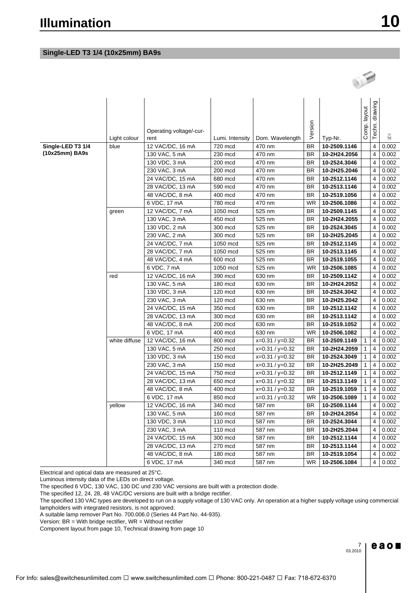# **Single-LED T3 1/4 (10x25mm) BA9s**

|                   | Light colour  | Operating voltage/-cur-<br>rent | Lumi. Intensity | Dom. Wavelength   | Version   | Typ-Nr.      | Comp. layout | drawing<br>Techn. | 阔     |
|-------------------|---------------|---------------------------------|-----------------|-------------------|-----------|--------------|--------------|-------------------|-------|
| Single-LED T3 1/4 | blue          | 12 VAC/DC, 16 mA                | 720 mcd         | 470 nm            | <b>BR</b> | 10-2509.1146 |              | 4                 | 0.002 |
| (10x25mm) BA9s    |               | 130 VAC, 5 mA                   | 230 mcd         | 470 nm            | <b>BR</b> | 10-2H24.2056 |              | 4                 | 0.002 |
|                   |               | 130 VDC, 3 mA                   | 200 mcd         | 470 nm            | <b>BR</b> | 10-2524.3046 |              | 4                 | 0.002 |
|                   |               | 230 VAC, 3 mA                   | 200 mcd         | 470 nm            | BR        | 10-2H25.2046 |              | 4                 | 0.002 |
|                   |               | 24 VAC/DC, 15 mA                | 680 mcd         | 470 nm            | <b>BR</b> | 10-2512.1146 |              | 4                 | 0.002 |
|                   |               | 28 VAC/DC, 13 mA                | 590 mcd         | 470 nm            | BR        | 10-2513.1146 |              | 4                 | 0.002 |
|                   |               | 48 VAC/DC, 8 mA                 | 400 mcd         | 470 nm            | BR        | 10-2519.1056 |              | 4                 | 0.002 |
|                   |               | 6 VDC, 17 mA                    | 780 mcd         | 470 nm            | WR        | 10-2506.1086 |              | 4                 | 0.002 |
|                   | green         | 12 VAC/DC, 7 mA                 | 1050 mcd        | 525 nm            | BR        | 10-2509.1145 |              | 4                 | 0.002 |
|                   |               | 130 VAC, 3 mA                   | 450 mcd         | 525 nm            | BR        | 10-2H24.2055 |              | 4                 | 0.002 |
|                   |               | 130 VDC, 2 mA                   | 300 mcd         | 525 nm            | <b>BR</b> | 10-2524.3045 |              | 4                 | 0.002 |
|                   |               | 230 VAC, 2 mA                   | 300 mcd         | 525 nm            | <b>BR</b> | 10-2H25.2045 |              | 4                 | 0.002 |
|                   |               | 24 VAC/DC, 7 mA                 | 1050 mcd        | 525 nm            | <b>BR</b> | 10-2512.1145 |              | 4                 | 0.002 |
|                   |               | 28 VAC/DC, 7 mA                 | 1050 mcd        | 525 nm            | <b>BR</b> | 10-2513.1145 |              | 4                 | 0.002 |
|                   |               | 48 VAC/DC, 4 mA                 | 600 mcd         | 525 nm            | <b>BR</b> | 10-2519.1055 |              | 4                 | 0.002 |
| red               |               | 6 VDC, 7 mA                     | 1050 mcd        | 525 nm            | WR        | 10-2506.1085 |              | 4                 | 0.002 |
|                   |               | 12 VAC/DC, 16 mA                | 390 mcd         | 630 nm            | BR        | 10-2509.1142 |              | 4                 | 0.002 |
|                   |               | 130 VAC, 5 mA                   | 180 mcd         | 630 nm            | BR        | 10-2H24.2052 |              | 4                 | 0.002 |
|                   |               | 130 VDC, 3 mA                   | 120 mcd         | 630 nm            | BR        | 10-2524.3042 |              | 4                 | 0.002 |
|                   |               | 230 VAC, 3 mA                   | 120 mcd         | 630 nm            | BR        | 10-2H25.2042 |              | 4                 | 0.002 |
|                   |               | 24 VAC/DC, 15 mA                | 350 mcd         | 630 nm            | BR        | 10-2512.1142 |              | 4                 | 0.002 |
|                   |               | 28 VAC/DC, 13 mA                | 300 mcd         | 630 nm            | BR        | 10-2513.1142 |              | 4                 | 0.002 |
|                   |               | 48 VAC/DC, 8 mA                 | 200 mcd         | 630 nm            | <b>BR</b> | 10-2519.1052 |              | 4                 | 0.002 |
|                   |               | 6 VDC, 17 mA                    | 400 mcd         | 630 nm            | <b>WR</b> | 10-2506.1082 |              | 4                 | 0.002 |
|                   | white diffuse | 12 VAC/DC, 16 mA                | 800 mcd         | $x=0.31 / y=0.32$ | <b>BR</b> | 10-2509.1149 | 1            | 4                 | 0.002 |
|                   |               | 130 VAC, 5 mA                   | 250 mcd         | $x=0.31 / y=0.32$ | <b>BR</b> | 10-2H24.2059 | $\mathbf{1}$ | $\overline{4}$    | 0.002 |
|                   |               | 130 VDC, 3 mA                   | 150 mcd         | $x=0.31 / y=0.32$ | <b>BR</b> | 10-2524.3049 | $\mathbf{1}$ | 4                 | 0.002 |
|                   |               | 230 VAC, 3 mA                   | 150 mcd         | $x=0.31 / y=0.32$ | <b>BR</b> | 10-2H25.2049 | 1            | 4                 | 0.002 |
|                   |               | 24 VAC/DC, 15 mA                | 750 mcd         | $x=0.31 / y=0.32$ | <b>BR</b> | 10-2512.1149 | $\mathbf{1}$ | 4                 | 0.002 |
|                   |               | 28 VAC/DC, 13 mA                | 650 mcd         | $x=0.31 / y=0.32$ | BR        | 10-2513.1149 | 1            | 4                 | 0.002 |
|                   |               | 48 VAC/DC, 8 mA                 | 400 mcd         | $x=0.31 / y=0.32$ | BR        | 10-2519.1059 | 1            | 4                 | 0.002 |
|                   |               | 6 VDC, 17 mA                    | 850 mcd         | $x=0.31 / y=0.32$ | WR        | 10-2506.1089 | $\mathbf{1}$ | 4                 | 0.002 |
|                   | yellow        | 12 VAC/DC, 16 mA                | 340 mcd         | 587 nm            | BR        | 10-2509.1144 |              | 4                 | 0.002 |
|                   |               | 130 VAC, 5 mA                   | 160 mcd         | 587 nm            | BR.       | 10-2H24.2054 |              | 4                 | 0.002 |
|                   |               | 130 VDC, 3 mA                   | 110 mcd         | 587 nm            | <b>BR</b> | 10-2524.3044 |              | 4                 | 0.002 |
|                   |               | 230 VAC, 3 mA                   | 110 mcd         | 587 nm            | <b>BR</b> | 10-2H25.2044 |              | 4                 | 0.002 |
|                   |               | 24 VAC/DC, 15 mA                | 300 mcd         | 587 nm            | <b>BR</b> | 10-2512.1144 |              | 4                 | 0.002 |
|                   |               | 28 VAC/DC, 13 mA                | 270 mcd         | 587 nm            | <b>BR</b> | 10-2513.1144 |              | 4                 | 0.002 |
|                   |               | 48 VAC/DC, 8 mA                 | 180 mcd         | 587 nm            | <b>BR</b> | 10-2519.1054 |              | 4                 | 0.002 |
|                   |               | 6 VDC, 17 mA                    | 340 mcd         | 587 nm            | <b>WR</b> | 10-2506.1084 |              | 4                 | 0.002 |

Electrical and optical data are measured at 25°C.

Luminous intensity data of the LEDs on direct voltage.

The specified 6 VDC, 130 VAC, 130 DC und 230 VAC versions are built with a protection diode.

The specified 12, 24, 28, 48 VAC/DC versions are built with a bridge rectifier.

The specified 130 VAC types are developed to run on a supply voltage of 130 VAC only. An operation at a higher supply voltage using commercial lampholders with integrated resistors, is not approved.

A suitable lamp remover Part No. 700.006.0 (Series 44 Part No. 44-935).

Version:  $BR = With bridge rectifier$ ,  $WR = Without rectifier$ 

Component layout from page 10, Technical drawing from page 10

 $e$  a o  $\blacksquare$ 

OFF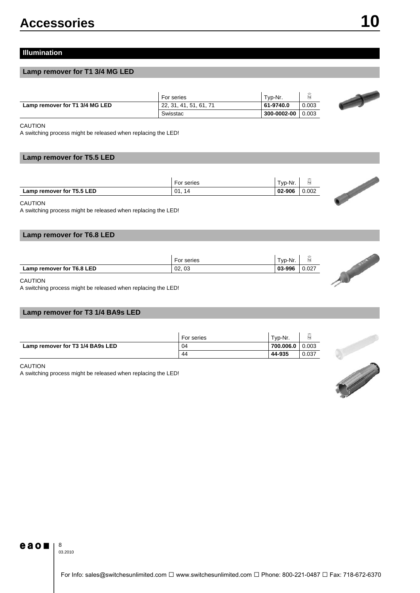# **Illumination**

# **Lamp remover for T1 3/4 MG LED**

|                                | For series             | Typ-Nr.     |       |
|--------------------------------|------------------------|-------------|-------|
| Lamp remover for T1 3/4 MG LED | 22, 31, 41, 51, 61, 71 | 61-9740.0   | 0.003 |
|                                | Swisstac               | 300-0002-00 | 0.003 |

#### CAUTION

A switching process might be released when replacing the LED!

# **Lamp remover for T5.5 LED**

|                           | For series | Typ-Nr. | $\epsilon$<br>kg |
|---------------------------|------------|---------|------------------|
| Lamp remover for T5.5 LED | 01.14      | 02-906  | 0.002            |

#### CAUTION

A switching process might be released when replacing the LED!

# **Lamp remover for T6.8 LED**

|                           | For series | Tvp-Nr. |       |
|---------------------------|------------|---------|-------|
| Lamp remover for T6.8 LED | 02,03      | 03-996  | 0.027 |

### CAUTION

A switching process might be released when replacing the LED!

# **Lamp remover for T3 1/4 BA9s LED**

|                                  | For series | Tvp-Nr.   |       |
|----------------------------------|------------|-----------|-------|
| Lamp remover for T3 1/4 BA9s LED | 04         | 700.006.0 | 0.003 |
|                                  | 44         | 44-935    | 0.037 |

#### CAUTION

A switching process might be released when replacing the LED!





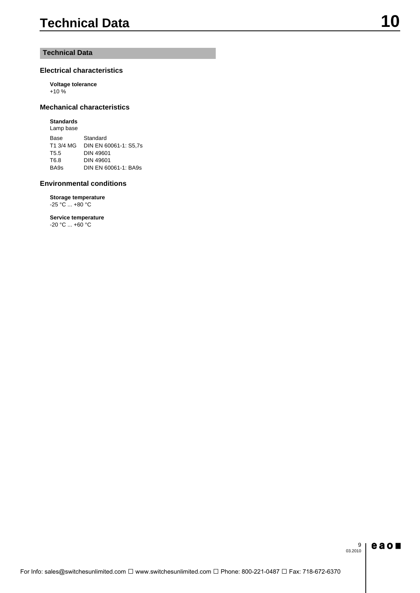# **Technical Data**

# **Electrical characteristics**

**Voltage tolerance**  $+10\%$ 

# **Mechanical characteristics**

### **Standards**

Lamp base Base Standard T1 3/4 MG DIN EN 60061-1: S5,7s T5.5 DIN 49601 T6.8 DIN 49601 BA9s DIN EN 60061-1: BA9s

### **Environmental conditions**

**Storage temperature** -25 °C ... +80 °C

**Service temperature** -20 °C ... +60 °C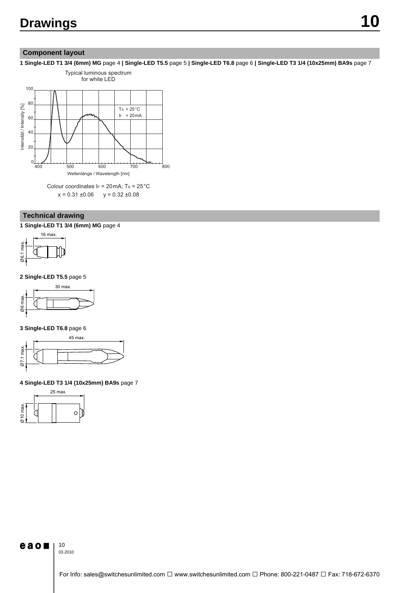# **Component layout**

**1 Single-LED T1 3/4 (6mm) MG** page 4 **| Single-LED T5.5** page 5 **| Single-LED T6.8** page 6 **| Single-LED T3 1/4 (10x25mm) BA9s** page 7



# **Technical drawing**

**1 Single-LED T1 3/4 (6mm) MG** page 4



**2 Single-LED T5.5** page 5



**3 Single-LED T6.8** page 6



# **4 Single-LED T3 1/4 (10x25mm) BA9s** page 7